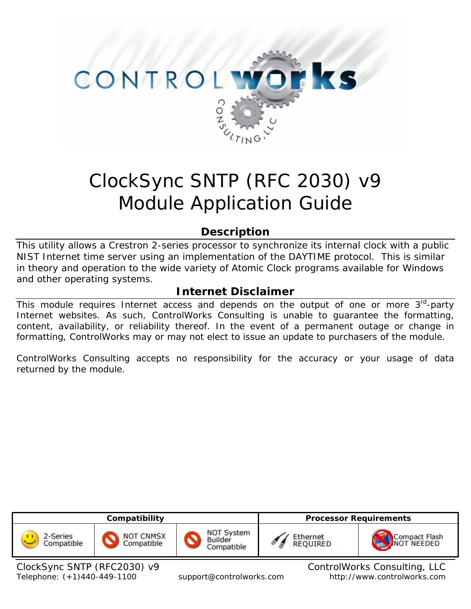

# ClockSync SNTP (RFC 2030) v9 Module Application Guide

# **Description**

This utility allows a Crestron 2-series processor to synchronize its internal clock with a public NIST Internet time server using an implementation of the DAYTIME protocol. This is similar in theory and operation to the wide variety of Atomic Clock programs available for Windows and other operating systems.

# **Internet Disclaimer**

This module requires Internet access and depends on the output of one or more  $3<sup>rd</sup>$ -party Internet websites. As such, ControlWorks Consulting is unable to guarantee the formatting, content, availability, or reliability thereof. In the event of a permanent outage or change in formatting, ControlWorks may or may not elect to issue an update to purchasers of the module.

ControlWorks Consulting accepts no responsibility for the accuracy or your usage of data returned by the module.



Telephone: (+1)440-449-1100 support@controlworks.com http://www.controlworks.com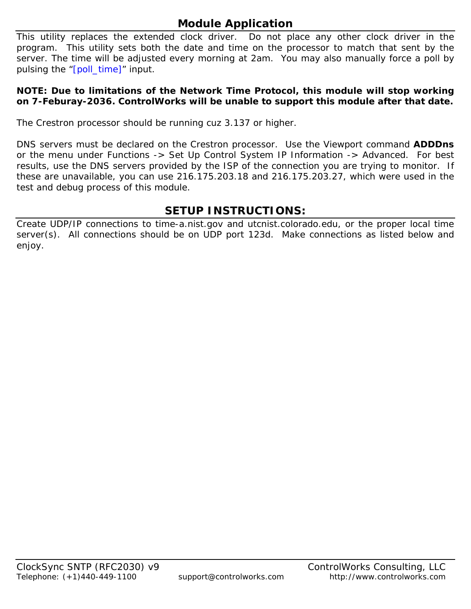# **Module Application**

This utility replaces the extended clock driver. Do not place any other clock driver in the program. This utility sets both the date and time on the processor to match that sent by the server. The time will be adjusted every morning at 2am. You may also manually force a poll by pulsing the "[poll\_time]" input.

#### **NOTE: Due to limitations of the Network Time Protocol, this module will stop working on 7-Feburay-2036. ControlWorks will be unable to support this module after that date.**

The Crestron processor should be running cuz 3.137 or higher.

DNS servers must be declared on the Crestron processor. Use the Viewport command **ADDDns**  or the menu under Functions -> Set Up Control System IP Information -> Advanced. For best results, use the DNS servers provided by the ISP of the connection you are trying to monitor. If these are unavailable, you can use 216.175.203.18 and 216.175.203.27, which were used in the test and debug process of this module.

# **SETUP INSTRUCTIONS:**

Create UDP/IP connections to time-a.nist.gov and utcnist.colorado.edu, or the proper local time server(s). All connections should be on UDP port 123d. Make connections as listed below and enjoy.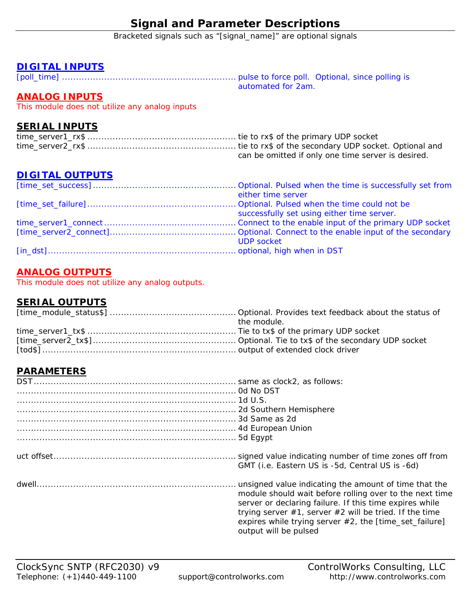# **Signal and Parameter Descriptions**

Bracketed signals such as "[signal\_name]" are optional signals

### **DIGITAL INPUTS**

[poll\_time] .............................................................. pulse to force poll. Optional, since polling is automated for 2am.

## **ANALOG INPUTS**

This module does not utilize any analog inputs

#### **SERIAL INPUTS**

| can be omitted if only one time server is desired. |
|----------------------------------------------------|

## **DIGITAL OUTPUTS**

| either time server                         |
|--------------------------------------------|
|                                            |
| successfully set using either time server. |
|                                            |
|                                            |
| <b>UDP</b> socket                          |
|                                            |

## **ANALOG OUTPUTS**

This module does not utilize any analog outputs.

## **SERIAL OUTPUTS**

| the module. |
|-------------|
|             |
|             |
|             |

## **PARAMETERS**

| GMT (i.e. Eastern US is -5d, Central US is -6d)                                                                                                                                                                                                                                                                                  |
|----------------------------------------------------------------------------------------------------------------------------------------------------------------------------------------------------------------------------------------------------------------------------------------------------------------------------------|
| unsigned value indicating the amount of time that the<br>module should wait before rolling over to the next time<br>server or declaring failure. If this time expires while<br>trying server $#1$ , server $#2$ will be tried. If the time<br>expires while trying server $#2$ , the [time_set_failure]<br>output will be pulsed |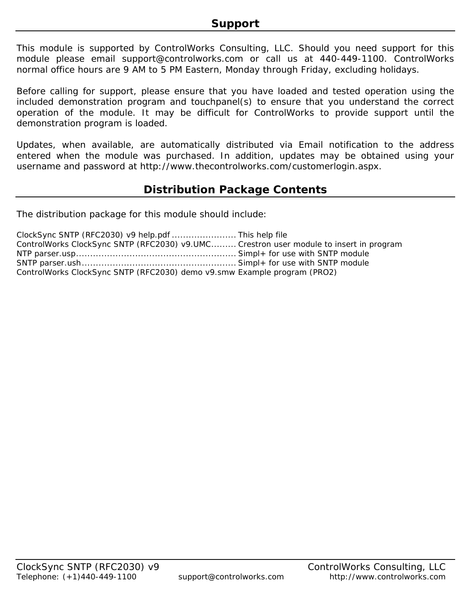This module is supported by ControlWorks Consulting, LLC. Should you need support for this module please email support@controlworks.com or call us at 440-449-1100. ControlWorks normal office hours are 9 AM to 5 PM Eastern, Monday through Friday, excluding holidays.

Before calling for support, please ensure that you have loaded and tested operation using the included demonstration program and touchpanel(s) to ensure that you understand the correct operation of the module. It may be difficult for ControlWorks to provide support until the demonstration program is loaded.

Updates, when available, are automatically distributed via Email notification to the address entered when the module was purchased. In addition, updates may be obtained using your username and password at http://www.thecontrolworks.com/customerlogin.aspx.

## **Distribution Package Contents**

The distribution package for this module should include:

| ClockSync SNTP (RFC2030) v9 help.pdf  This help file                                   |  |
|----------------------------------------------------------------------------------------|--|
| ControlWorks ClockSync SNTP (RFC2030) v9.UMC Crestron user module to insert in program |  |
|                                                                                        |  |
|                                                                                        |  |
| ControlWorks ClockSync SNTP (RFC2030) demo v9.smw Example program (PRO2)               |  |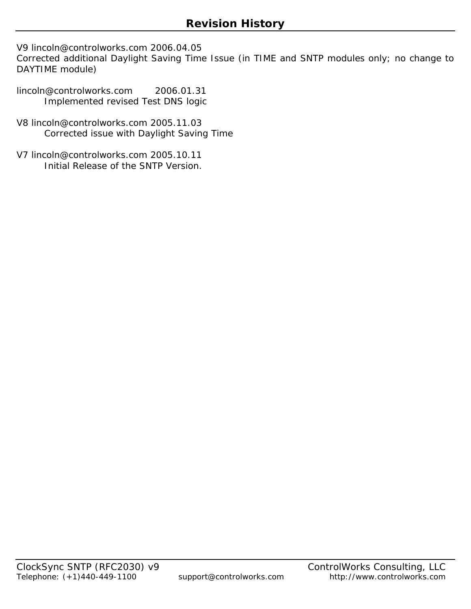V9 lincoln@controlworks.com 2006.04.05

Corrected additional Daylight Saving Time Issue (in TIME and SNTP modules only; no change to DAYTIME module)

lincoln@controlworks.com 2006.01.31 Implemented revised Test DNS logic

- V8 lincoln@controlworks.com 2005.11.03 Corrected issue with Daylight Saving Time
- V7 lincoln@controlworks.com 2005.10.11 Initial Release of the SNTP Version.